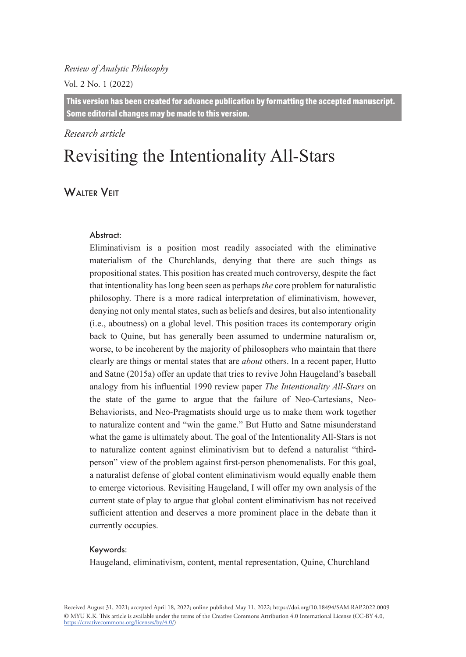#### *Review of Analytic Philosophy*

Vol. 2 No. 1 (2022)

This version has been created for advance publication by formatting the accepted manuscript. Some editorial changes may be made to this version.

#### *Research article*

# Revisiting the Intentionality All-Stars

## WAITER VEIT

#### Abstract:

Eliminativism is a position most readily associated with the eliminative materialism of the Churchlands, denying that there are such things as propositional states. This position has created much controversy, despite the fact that intentionality has long been seen as perhaps *the* core problem for naturalistic philosophy. There is a more radical interpretation of eliminativism, however, denying not only mental states, such as beliefs and desires, but also intentionality (i.e., aboutness) on a global level. This position traces its contemporary origin back to Quine, but has generally been assumed to undermine naturalism or, worse, to be incoherent by the majority of philosophers who maintain that there clearly are things or mental states that are *about* others. In a recent paper, Hutto and Satne (2015a) offer an update that tries to revive John Haugeland's baseball analogy from his influential 1990 review paper *The Intentionality All-Stars* on the state of the game to argue that the failure of Neo-Cartesians, Neo-Behaviorists, and Neo-Pragmatists should urge us to make them work together to naturalize content and "win the game." But Hutto and Satne misunderstand what the game is ultimately about. The goal of the Intentionality All-Stars is not to naturalize content against eliminativism but to defend a naturalist "thirdperson" view of the problem against first-person phenomenalists. For this goal, a naturalist defense of global content eliminativism would equally enable them to emerge victorious. Revisiting Haugeland, I will offer my own analysis of the current state of play to argue that global content eliminativism has not received sufficient attention and deserves a more prominent place in the debate than it currently occupies.

#### Keywords:

Haugeland, eliminativism, content, mental representation, Quine, Churchland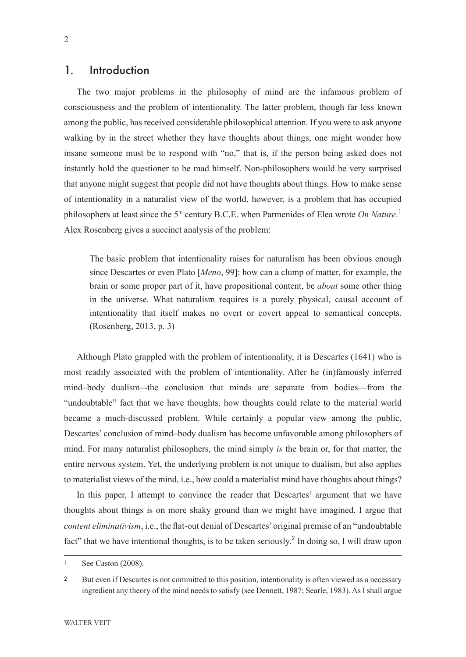#### 1. Introduction

The two major problems in the philosophy of mind are the infamous problem of consciousness and the problem of intentionality. The latter problem, though far less known among the public, has received considerable philosophical attention. If you were to ask anyone walking by in the street whether they have thoughts about things, one might wonder how insane someone must be to respond with "no," that is, if the person being asked does not instantly hold the questioner to be mad himself. Non-philosophers would be very surprised that anyone might suggest that people did not have thoughts about things. How to make sense of intentionality in a naturalist view of the world, however, is a problem that has occupied philosophers at least since the 5<sup>th</sup> century B.C.E. when Parmenides of Elea wrote On Nature.<sup>1</sup> Alex Rosenberg gives a succinct analysis of the problem:

The basic problem that intentionality raises for naturalism has been obvious enough since Descartes or even Plato [*Meno*, 99]: how can a clump of matter, for example, the brain or some proper part of it, have propositional content, be *about* some other thing in the universe. What naturalism requires is a purely physical, causal account of intentionality that itself makes no overt or covert appeal to semantical concepts. (Rosenberg, 2013, p. 3)

Although Plato grappled with the problem of intentionality, it is Descartes (1641) who is most readily associated with the problem of intentionality. After he (in)famously inferred mind–body dualism–-the conclusion that minds are separate from bodies—from the "undoubtable" fact that we have thoughts, how thoughts could relate to the material world became a much-discussed problem. While certainly a popular view among the public, Descartes' conclusion of mind–body dualism has become unfavorable among philosophers of mind. For many naturalist philosophers, the mind simply *is* the brain or, for that matter, the entire nervous system. Yet, the underlying problem is not unique to dualism, but also applies to materialist views of the mind, i.e., how could a materialist mind have thoughts about things?

In this paper, I attempt to convince the reader that Descartes' argument that we have thoughts about things is on more shaky ground than we might have imagined. I argue that *content eliminativism*, i.e., the flat-out denial of Descartes' original premise of an "undoubtable fact" that we have intentional thoughts, is to be taken seriously.<sup>2</sup> In doing so, I will draw upon

<sup>1</sup> See Caston (2008).

<sup>2</sup> But even if Descartes is not committed to this position, intentionality is often viewed as a necessary ingredient any theory of the mind needs to satisfy (see Dennett, 1987; Searle, 1983). As I shall argue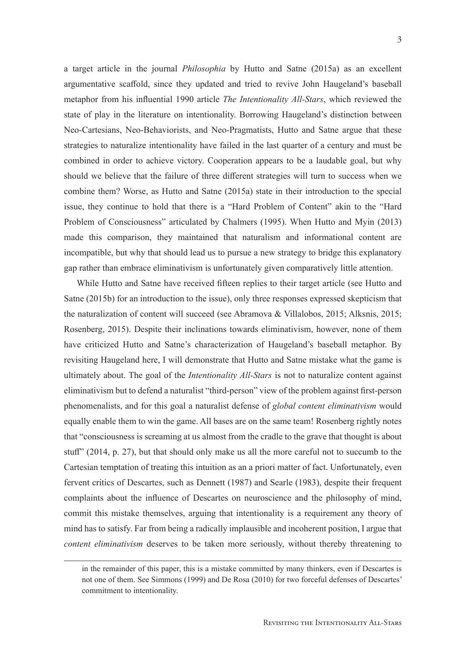a target article in the journal *Philosophia* by Hutto and Satne (2015a) as an excellent argumentative scaffold, since they updated and tried to revive John Haugeland's baseball metaphor from his influential 1990 article *The Intentionality All-Stars*, which reviewed the state of play in the literature on intentionality. Borrowing Haugeland's distinction between Neo-Cartesians, Neo-Behaviorists, and Neo-Pragmatists, Hutto and Satne argue that these strategies to naturalize intentionality have failed in the last quarter of a century and must be combined in order to achieve victory. Cooperation appears to be a laudable goal, but why should we believe that the failure of three different strategies will turn to success when we combine them? Worse, as Hutto and Satne (2015a) state in their introduction to the special issue, they continue to hold that there is a "Hard Problem of Content" akin to the "Hard Problem of Consciousness" articulated by Chalmers (1995). When Hutto and Myin (2013) made this comparison, they maintained that naturalism and informational content are incompatible, but why that should lead us to pursue a new strategy to bridge this explanatory gap rather than embrace eliminativism is unfortunately given comparatively little attention.

While Hutto and Satne have received fifteen replies to their target article (see Hutto and Satne (2015b) for an introduction to the issue), only three responses expressed skepticism that the naturalization of content will succeed (see Abramova & Villalobos, 2015; Alksnis, 2015; Rosenberg, 2015). Despite their inclinations towards eliminativism, however, none of them have criticized Hutto and Satne's characterization of Haugeland's baseball metaphor. By revisiting Haugeland here, I will demonstrate that Hutto and Satne mistake what the game is ultimately about. The goal of the *Intentionality All-Stars* is not to naturalize content against eliminativism but to defend a naturalist "third-person" view of the problem against first-person phenomenalists, and for this goal a naturalist defense of *global content eliminativism* would equally enable them to win the game. All bases are on the same team! Rosenberg rightly notes that "consciousness is screaming at us almost from the cradle to the grave that thought is about stuff" (2014, p. 27), but that should only make us all the more careful not to succumb to the Cartesian temptation of treating this intuition as an a priori matter of fact. Unfortunately, even fervent critics of Descartes, such as Dennett (1987) and Searle (1983), despite their frequent complaints about the influence of Descartes on neuroscience and the philosophy of mind, commit this mistake themselves, arguing that intentionality is a requirement any theory of mind has to satisfy. Far from being a radically implausible and incoherent position, I argue that *content eliminativism* deserves to be taken more seriously, without thereby threatening to

in the remainder of this paper, this is a mistake committed by many thinkers, even if Descartes is not one of them. See Simmons (1999) and De Rosa (2010) for two forceful defenses of Descartes' commitment to intentionality.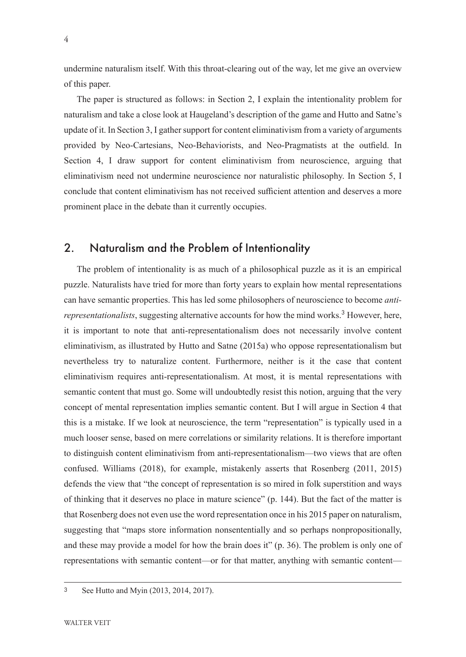undermine naturalism itself. With this throat-clearing out of the way, let me give an overview of this paper.

The paper is structured as follows: in Section 2, I explain the intentionality problem for naturalism and take a close look at Haugeland's description of the game and Hutto and Satne's update of it. In Section 3, I gather support for content eliminativism from a variety of arguments provided by Neo-Cartesians, Neo-Behaviorists, and Neo-Pragmatists at the outfield. In Section 4, I draw support for content eliminativism from neuroscience, arguing that eliminativism need not undermine neuroscience nor naturalistic philosophy. In Section 5, I conclude that content eliminativism has not received sufficient attention and deserves a more prominent place in the debate than it currently occupies.

### 2. Naturalism and the Problem of Intentionality

The problem of intentionality is as much of a philosophical puzzle as it is an empirical puzzle. Naturalists have tried for more than forty years to explain how mental representations can have semantic properties. This has led some philosophers of neuroscience to become *anti*representationalists, suggesting alternative accounts for how the mind works.<sup>3</sup> However, here, it is important to note that anti-representationalism does not necessarily involve content eliminativism, as illustrated by Hutto and Satne (2015a) who oppose representationalism but nevertheless try to naturalize content. Furthermore, neither is it the case that content eliminativism requires anti-representationalism. At most, it is mental representations with semantic content that must go. Some will undoubtedly resist this notion, arguing that the very concept of mental representation implies semantic content. But I will argue in Section 4 that this is a mistake. If we look at neuroscience, the term "representation" is typically used in a much looser sense, based on mere correlations or similarity relations. It is therefore important to distinguish content eliminativism from anti-representationalism—two views that are often confused. Williams (2018), for example, mistakenly asserts that Rosenberg (2011, 2015) defends the view that "the concept of representation is so mired in folk superstition and ways of thinking that it deserves no place in mature science" (p. 144). But the fact of the matter is that Rosenberg does not even use the word representation once in his 2015 paper on naturalism, suggesting that "maps store information nonsententially and so perhaps nonpropositionally, and these may provide a model for how the brain does it" (p. 36). The problem is only one of representations with semantic content—or for that matter, anything with semantic content—

<sup>3</sup> See Hutto and Myin (2013, 2014, 2017).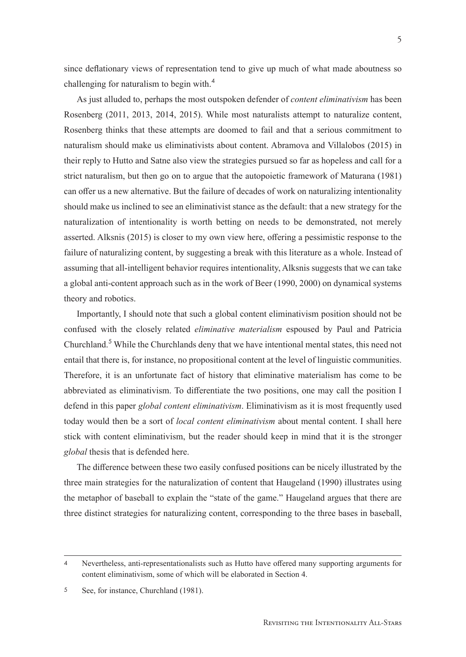since deflationary views of representation tend to give up much of what made aboutness so challenging for naturalism to begin with.<sup>4</sup>

As just alluded to, perhaps the most outspoken defender of *content eliminativism* has been Rosenberg (2011, 2013, 2014, 2015). While most naturalists attempt to naturalize content, Rosenberg thinks that these attempts are doomed to fail and that a serious commitment to naturalism should make us eliminativists about content. Abramova and Villalobos (2015) in their reply to Hutto and Satne also view the strategies pursued so far as hopeless and call for a strict naturalism, but then go on to argue that the autopoietic framework of Maturana (1981) can offer us a new alternative. But the failure of decades of work on naturalizing intentionality should make us inclined to see an eliminativist stance as the default: that a new strategy for the naturalization of intentionality is worth betting on needs to be demonstrated, not merely asserted. Alksnis (2015) is closer to my own view here, offering a pessimistic response to the failure of naturalizing content, by suggesting a break with this literature as a whole. Instead of assuming that all-intelligent behavior requires intentionality, Alksnis suggests that we can take a global anti-content approach such as in the work of Beer (1990, 2000) on dynamical systems theory and robotics.

Importantly, I should note that such a global content eliminativism position should not be confused with the closely related *eliminative materialism* espoused by Paul and Patricia Churchland.<sup>5</sup> While the Churchlands deny that we have intentional mental states, this need not entail that there is, for instance, no propositional content at the level of linguistic communities. Therefore, it is an unfortunate fact of history that eliminative materialism has come to be abbreviated as eliminativism. To differentiate the two positions, one may call the position I defend in this paper *global content eliminativism*. Eliminativism as it is most frequently used today would then be a sort of *local content eliminativism* about mental content. I shall here stick with content eliminativism, but the reader should keep in mind that it is the stronger *global* thesis that is defended here.

The difference between these two easily confused positions can be nicely illustrated by the three main strategies for the naturalization of content that Haugeland (1990) illustrates using the metaphor of baseball to explain the "state of the game." Haugeland argues that there are three distinct strategies for naturalizing content, corresponding to the three bases in baseball,

<sup>4</sup> Nevertheless, anti-representationalists such as Hutto have offered many supporting arguments for content eliminativism, some of which will be elaborated in Section 4.

<sup>5</sup> See, for instance, Churchland (1981).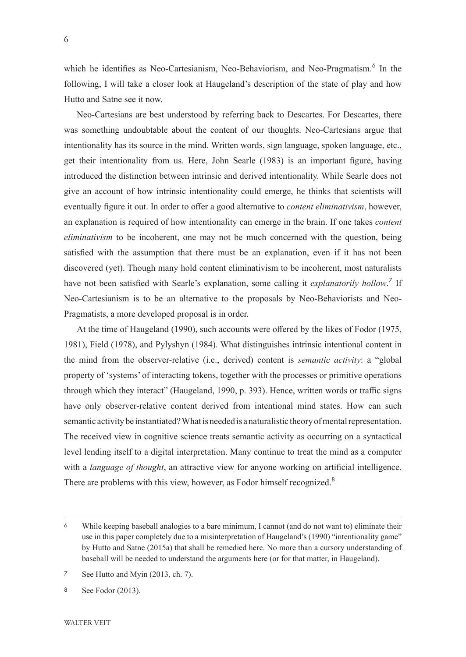which he identifies as Neo-Cartesianism, Neo-Behaviorism, and Neo-Pragmatism.<sup>6</sup> In the following, I will take a closer look at Haugeland's description of the state of play and how Hutto and Satne see it now.

Neo-Cartesians are best understood by referring back to Descartes. For Descartes, there was something undoubtable about the content of our thoughts. Neo-Cartesians argue that intentionality has its source in the mind. Written words, sign language, spoken language, etc., get their intentionality from us. Here, John Searle (1983) is an important figure, having introduced the distinction between intrinsic and derived intentionality. While Searle does not give an account of how intrinsic intentionality could emerge, he thinks that scientists will eventually figure it out. In order to offer a good alternative to *content eliminativism*, however, an explanation is required of how intentionality can emerge in the brain. If one takes *content eliminativism* to be incoherent, one may not be much concerned with the question, being satisfied with the assumption that there must be an explanation, even if it has not been discovered (yet). Though many hold content eliminativism to be incoherent, most naturalists have not been satisfied with Searle's explanation, some calling it *explanatorily hollow*.<sup>7</sup> If Neo-Cartesianism is to be an alternative to the proposals by Neo-Behaviorists and Neo-Pragmatists, a more developed proposal is in order.

At the time of Haugeland (1990), such accounts were offered by the likes of Fodor (1975, 1981), Field (1978), and Pylyshyn (1984). What distinguishes intrinsic intentional content in the mind from the observer-relative (i.e., derived) content is *semantic activity*: a "global property of 'systems' of interacting tokens, together with the processes or primitive operations through which they interact" (Haugeland, 1990, p. 393). Hence, written words or traffic signs have only observer-relative content derived from intentional mind states. How can such semantic activity be instantiated? What is needed is a naturalistic theory of mental representation. The received view in cognitive science treats semantic activity as occurring on a syntactical level lending itself to a digital interpretation. Many continue to treat the mind as a computer with a *language of thought*, an attractive view for anyone working on artificial intelligence. There are problems with this view, however, as Fodor himself recognized.<sup>8</sup>

<sup>6</sup> While keeping baseball analogies to a bare minimum, I cannot (and do not want to) eliminate their use in this paper completely due to a misinterpretation of Haugeland's (1990) "intentionality game" by Hutto and Satne (2015a) that shall be remedied here. No more than a cursory understanding of baseball will be needed to understand the arguments here (or for that matter, in Haugeland).

<sup>7</sup> See Hutto and Myin (2013, ch. 7).

<sup>8</sup> See Fodor (2013).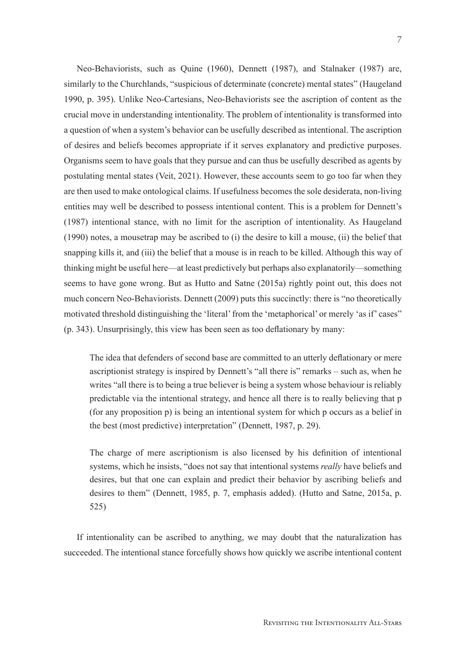Neo-Behaviorists, such as Quine (1960), Dennett (1987), and Stalnaker (1987) are, similarly to the Churchlands, "suspicious of determinate (concrete) mental states" (Haugeland 1990, p. 395). Unlike Neo-Cartesians, Neo-Behaviorists see the ascription of content as the crucial move in understanding intentionality. The problem of intentionality is transformed into a question of when a system's behavior can be usefully described as intentional. The ascription of desires and beliefs becomes appropriate if it serves explanatory and predictive purposes. Organisms seem to have goals that they pursue and can thus be usefully described as agents by postulating mental states (Veit, 2021). However, these accounts seem to go too far when they are then used to make ontological claims. If usefulness becomes the sole desiderata, non-living entities may well be described to possess intentional content. This is a problem for Dennett's (1987) intentional stance, with no limit for the ascription of intentionality. As Haugeland (1990) notes, a mousetrap may be ascribed to (i) the desire to kill a mouse, (ii) the belief that snapping kills it, and (iii) the belief that a mouse is in reach to be killed. Although this way of thinking might be useful here—at least predictively but perhaps also explanatorily—something seems to have gone wrong. But as Hutto and Satne (2015a) rightly point out, this does not much concern Neo-Behaviorists. Dennett (2009) puts this succinctly: there is "no theoretically motivated threshold distinguishing the 'literal' from the 'metaphorical' or merely 'as if' cases" (p. 343). Unsurprisingly, this view has been seen as too deflationary by many:

The idea that defenders of second base are committed to an utterly deflationary or mere ascriptionist strategy is inspired by Dennett's "all there is" remarks – such as, when he writes "all there is to being a true believer is being a system whose behaviour is reliably predictable via the intentional strategy, and hence all there is to really believing that p (for any proposition p) is being an intentional system for which p occurs as a belief in the best (most predictive) interpretation" (Dennett, 1987, p. 29).

The charge of mere ascriptionism is also licensed by his definition of intentional systems, which he insists, "does not say that intentional systems *really* have beliefs and desires, but that one can explain and predict their behavior by ascribing beliefs and desires to them" (Dennett, 1985, p. 7, emphasis added). (Hutto and Satne, 2015a, p. 525)

If intentionality can be ascribed to anything, we may doubt that the naturalization has succeeded. The intentional stance forcefully shows how quickly we ascribe intentional content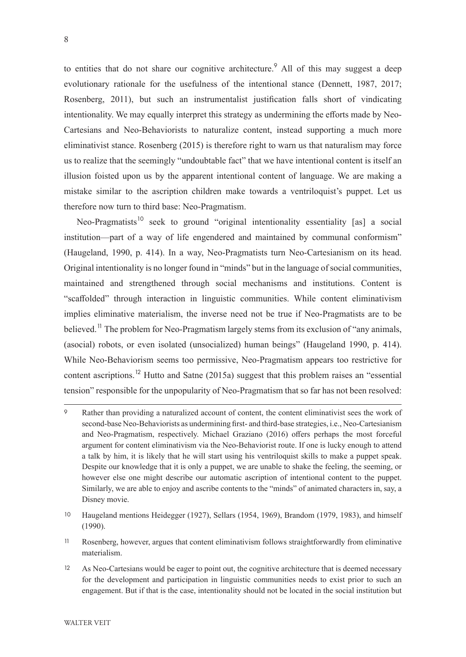to entities that do not share our cognitive architecture.<sup>9</sup> All of this may suggest a deep evolutionary rationale for the usefulness of the intentional stance (Dennett, 1987, 2017; Rosenberg, 2011), but such an instrumentalist justification falls short of vindicating intentionality. We may equally interpret this strategy as undermining the efforts made by Neo-Cartesians and Neo-Behaviorists to naturalize content, instead supporting a much more eliminativist stance. Rosenberg (2015) is therefore right to warn us that naturalism may force us to realize that the seemingly "undoubtable fact" that we have intentional content is itself an illusion foisted upon us by the apparent intentional content of language. We are making a mistake similar to the ascription children make towards a ventriloquist's puppet. Let us therefore now turn to third base: Neo-Pragmatism.

Neo-Pragmatists<sup>10</sup> seek to ground "original intentionality essentiality [as] a social institution—part of a way of life engendered and maintained by communal conformism" (Haugeland, 1990, p. 414). In a way, Neo-Pragmatists turn Neo-Cartesianism on its head. Original intentionality is no longer found in "minds" but in the language of social communities, maintained and strengthened through social mechanisms and institutions. Content is "scaffolded" through interaction in linguistic communities. While content eliminativism implies eliminative materialism, the inverse need not be true if Neo-Pragmatists are to be believed.<sup>11</sup> The problem for Neo-Pragmatism largely stems from its exclusion of "any animals, (asocial) robots, or even isolated (unsocialized) human beings" (Haugeland 1990, p. 414). While Neo-Behaviorism seems too permissive, Neo-Pragmatism appears too restrictive for content ascriptions.<sup>12</sup> Hutto and Satne (2015a) suggest that this problem raises an "essential tension" responsible for the unpopularity of Neo-Pragmatism that so far has not been resolved:

<sup>9</sup> Rather than providing a naturalized account of content, the content eliminativist sees the work of second-base Neo-Behaviorists as undermining first- and third-base strategies, i.e., Neo-Cartesianism and Neo-Pragmatism, respectively. Michael Graziano (2016) offers perhaps the most forceful argument for content eliminativism via the Neo-Behaviorist route. If one is lucky enough to attend a talk by him, it is likely that he will start using his ventriloquist skills to make a puppet speak. Despite our knowledge that it is only a puppet, we are unable to shake the feeling, the seeming, or however else one might describe our automatic ascription of intentional content to the puppet. Similarly, we are able to enjoy and ascribe contents to the "minds" of animated characters in, say, a Disney movie.

<sup>10</sup> Haugeland mentions Heidegger (1927), Sellars (1954, 1969), Brandom (1979, 1983), and himself (1990).

<sup>11</sup> Rosenberg, however, argues that content eliminativism follows straightforwardly from eliminative materialism.

<sup>12</sup> As Neo-Cartesians would be eager to point out, the cognitive architecture that is deemed necessary for the development and participation in linguistic communities needs to exist prior to such an engagement. But if that is the case, intentionality should not be located in the social institution but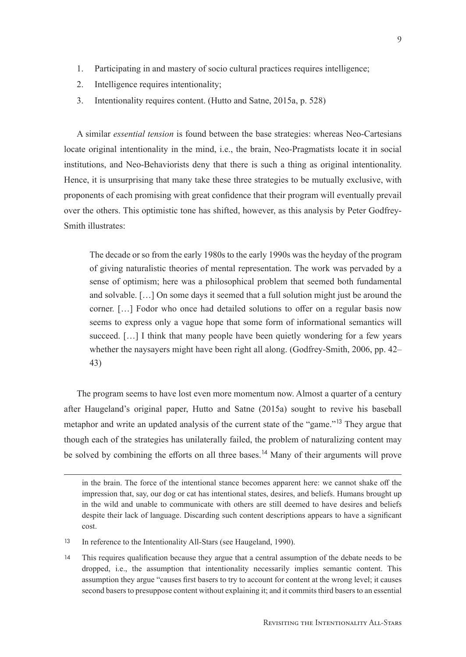- 1. Participating in and mastery of socio cultural practices requires intelligence;
- 2. Intelligence requires intentionality;
- 3. Intentionality requires content. (Hutto and Satne, 2015a, p. 528)

A similar *essential tension* is found between the base strategies: whereas Neo-Cartesians locate original intentionality in the mind, i.e., the brain, Neo-Pragmatists locate it in social institutions, and Neo-Behaviorists deny that there is such a thing as original intentionality. Hence, it is unsurprising that many take these three strategies to be mutually exclusive, with proponents of each promising with great confidence that their program will eventually prevail over the others. This optimistic tone has shifted, however, as this analysis by Peter Godfrey-Smith illustrates:

The decade or so from the early 1980s to the early 1990s was the heyday of the program of giving naturalistic theories of mental representation. The work was pervaded by a sense of optimism; here was a philosophical problem that seemed both fundamental and solvable. […] On some days it seemed that a full solution might just be around the corner. […] Fodor who once had detailed solutions to offer on a regular basis now seems to express only a vague hope that some form of informational semantics will succeed. [...] I think that many people have been quietly wondering for a few years whether the naysayers might have been right all along. (Godfrey-Smith, 2006, pp. 42– 43)

The program seems to have lost even more momentum now. Almost a quarter of a century after Haugeland's original paper, Hutto and Satne (2015a) sought to revive his baseball metaphor and write an updated analysis of the current state of the "game."<sup>13</sup> They argue that though each of the strategies has unilaterally failed, the problem of naturalizing content may be solved by combining the efforts on all three bases.<sup>14</sup> Many of their arguments will prove

in the brain. The force of the intentional stance becomes apparent here: we cannot shake off the impression that, say, our dog or cat has intentional states, desires, and beliefs. Humans brought up in the wild and unable to communicate with others are still deemed to have desires and beliefs despite their lack of language. Discarding such content descriptions appears to have a significant cost.

<sup>13</sup> In reference to the Intentionality All-Stars (see Haugeland, 1990).

<sup>14</sup> This requires qualification because they argue that a central assumption of the debate needs to be dropped, i.e., the assumption that intentionality necessarily implies semantic content. This assumption they argue "causes first basers to try to account for content at the wrong level; it causes second basers to presuppose content without explaining it; and it commits third basers to an essential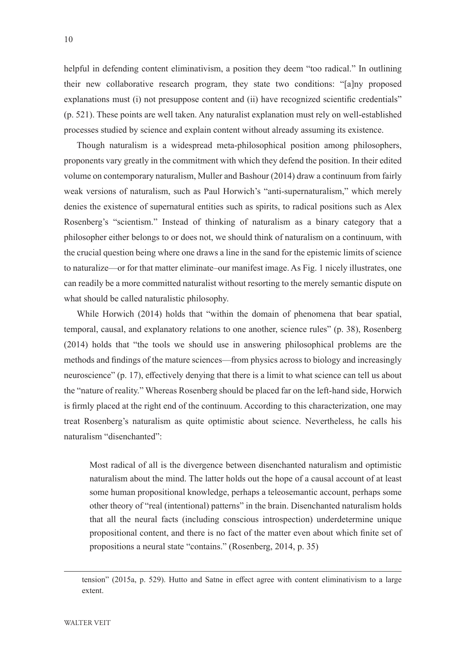helpful in defending content eliminativism, a position they deem "too radical." In outlining their new collaborative research program, they state two conditions: "[a]ny proposed explanations must (i) not presuppose content and (ii) have recognized scientific credentials" (p. 521). These points are well taken. Any naturalist explanation must rely on well-established processes studied by science and explain content without already assuming its existence.

Though naturalism is a widespread meta-philosophical position among philosophers, proponents vary greatly in the commitment with which they defend the position. In their edited volume on contemporary naturalism, Muller and Bashour (2014) draw a continuum from fairly weak versions of naturalism, such as Paul Horwich's "anti-supernaturalism," which merely denies the existence of supernatural entities such as spirits, to radical positions such as Alex Rosenberg's "scientism." Instead of thinking of naturalism as a binary category that a philosopher either belongs to or does not, we should think of naturalism on a continuum, with the crucial question being where one draws a line in the sand for the epistemic limits of science to naturalize—or for that matter eliminate–our manifest image. As Fig. 1 nicely illustrates, one can readily be a more committed naturalist without resorting to the merely semantic dispute on what should be called naturalistic philosophy.

While Horwich (2014) holds that "within the domain of phenomena that bear spatial, temporal, causal, and explanatory relations to one another, science rules" (p. 38), Rosenberg (2014) holds that "the tools we should use in answering philosophical problems are the methods and findings of the mature sciences—from physics across to biology and increasingly neuroscience" (p. 17), effectively denying that there is a limit to what science can tell us about the "nature of reality." Whereas Rosenberg should be placed far on the left-hand side, Horwich is firmly placed at the right end of the continuum. According to this characterization, one may treat Rosenberg's naturalism as quite optimistic about science. Nevertheless, he calls his naturalism "disenchanted":

Most radical of all is the divergence between disenchanted naturalism and optimistic naturalism about the mind. The latter holds out the hope of a causal account of at least some human propositional knowledge, perhaps a teleosemantic account, perhaps some other theory of "real (intentional) patterns" in the brain. Disenchanted naturalism holds that all the neural facts (including conscious introspection) underdetermine unique propositional content, and there is no fact of the matter even about which finite set of propositions a neural state "contains." (Rosenberg, 2014, p. 35)

tension" (2015a, p. 529). Hutto and Satne in effect agree with content eliminativism to a large extent.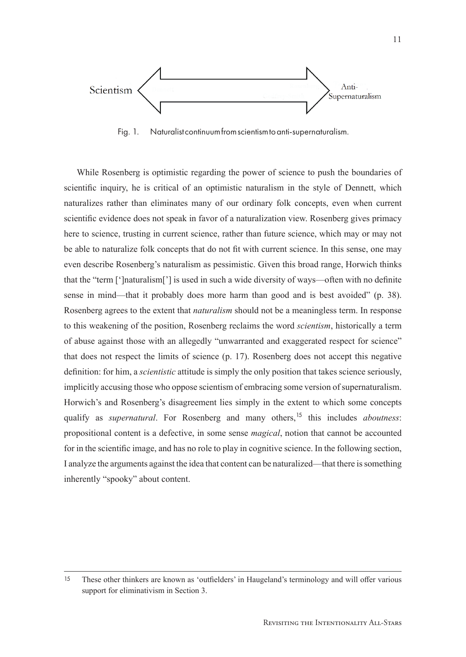

Fig. 1. Naturalist continuum from scientism to anti-supernaturalism.

While Rosenberg is optimistic regarding the power of science to push the boundaries of scientific inquiry, he is critical of an optimistic naturalism in the style of Dennett, which naturalizes rather than eliminates many of our ordinary folk concepts, even when current scientific evidence does not speak in favor of a naturalization view. Rosenberg gives primacy here to science, trusting in current science, rather than future science, which may or may not be able to naturalize folk concepts that do not fit with current science. In this sense, one may even describe Rosenberg's naturalism as pessimistic. Given this broad range, Horwich thinks that the "term [']naturalism['] is used in such a wide diversity of ways—often with no definite sense in mind—that it probably does more harm than good and is best avoided" (p. 38). Rosenberg agrees to the extent that *naturalism* should not be a meaningless term. In response to this weakening of the position, Rosenberg reclaims the word *scientism*, historically a term of abuse against those with an allegedly "unwarranted and exaggerated respect for science" that does not respect the limits of science (p. 17). Rosenberg does not accept this negative definition: for him, a *scientistic* attitude is simply the only position that takes science seriously, implicitly accusing those who oppose scientism of embracing some version of supernaturalism. Horwich's and Rosenberg's disagreement lies simply in the extent to which some concepts qualify as *supernatural*. For Rosenberg and many others,<sup>15</sup> this includes *aboutness*: propositional content is a defective, in some sense *magical*, notion that cannot be accounted for in the scientific image, and has no role to play in cognitive science. In the following section, I analyze the arguments against the idea that content can be naturalized—that there is something inherently "spooky" about content.

<sup>15</sup> These other thinkers are known as 'outfielders' in Haugeland's terminology and will offer various support for eliminativism in Section 3.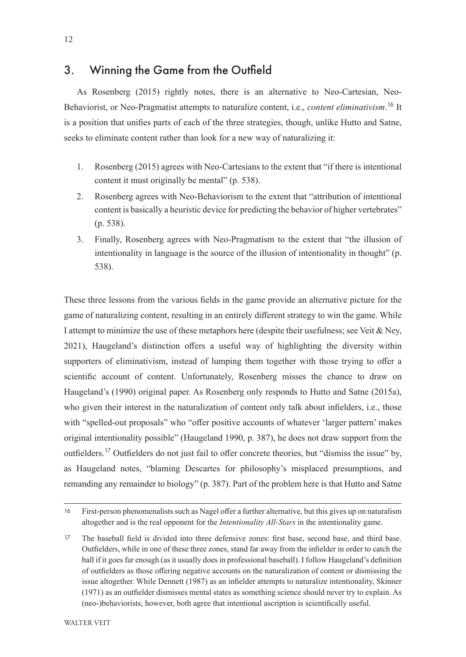### 3. Winning the Game from the Outfield

As Rosenberg (2015) rightly notes, there is an alternative to Neo-Cartesian, Neo-Behaviorist, or Neo-Pragmatist attempts to naturalize content, i.e., *content eliminativism*. <sup>16</sup> It is a position that unifies parts of each of the three strategies, though, unlike Hutto and Satne, seeks to eliminate content rather than look for a new way of naturalizing it:

- 1. Rosenberg (2015) agrees with Neo-Cartesians to the extent that "if there is intentional content it must originally be mental" (p. 538).
- 2. Rosenberg agrees with Neo-Behaviorism to the extent that "attribution of intentional content is basically a heuristic device for predicting the behavior of higher vertebrates" (p. 538).
- 3. Finally, Rosenberg agrees with Neo-Pragmatism to the extent that "the illusion of intentionality in language is the source of the illusion of intentionality in thought" (p. 538).

These three lessons from the various fields in the game provide an alternative picture for the game of naturalizing content, resulting in an entirely different strategy to win the game. While I attempt to minimize the use of these metaphors here (despite their usefulness; see Veit & Ney, 2021), Haugeland's distinction offers a useful way of highlighting the diversity within supporters of eliminativism, instead of lumping them together with those trying to offer a scientific account of content. Unfortunately, Rosenberg misses the chance to draw on Haugeland's (1990) original paper. As Rosenberg only responds to Hutto and Satne (2015a), who given their interest in the naturalization of content only talk about infielders, i.e., those with "spelled-out proposals" who "offer positive accounts of whatever 'larger pattern' makes original intentionality possible" (Haugeland 1990, p. 387), he does not draw support from the outfielders.<sup>17</sup> Outfielders do not just fail to offer concrete theories, but "dismiss the issue" by, as Haugeland notes, "blaming Descartes for philosophy's misplaced presumptions, and remanding any remainder to biology" (p. 387). Part of the problem here is that Hutto and Satne

<sup>16</sup> First-person phenomenalists such as Nagel offer a further alternative, but this gives up on naturalism altogether and is the real opponent for the *Intentionality All-Stars* in the intentionality game.

<sup>17</sup> The baseball field is divided into three defensive zones: first base, second base, and third base. Outfielders, while in one of these three zones, stand far away from the infielder in order to catch the ball if it goes far enough (as it usually does in professional baseball). I follow Haugeland's definition of outfielders as those offering negative accounts on the naturalization of content or dismissing the issue altogether. While Dennett (1987) as an infielder attempts to naturalize intentionality, Skinner (1971) as an outfielder dismisses mental states as something science should never try to explain. As (neo-)behaviorists, however, both agree that intentional ascription is scientifically useful.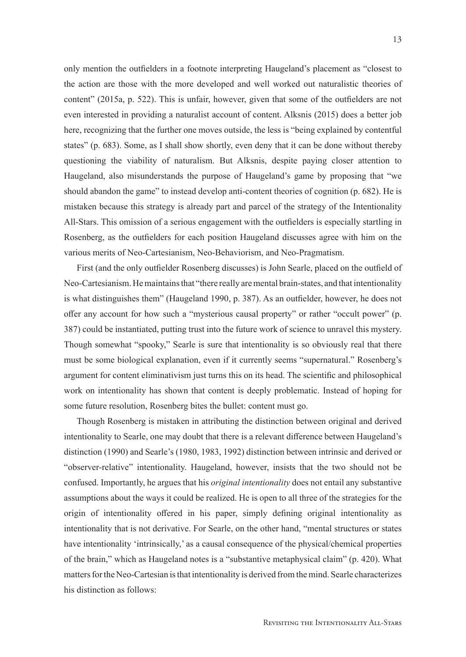only mention the outfielders in a footnote interpreting Haugeland's placement as "closest to the action are those with the more developed and well worked out naturalistic theories of content" (2015a, p. 522). This is unfair, however, given that some of the outfielders are not even interested in providing a naturalist account of content. Alksnis (2015) does a better job here, recognizing that the further one moves outside, the less is "being explained by contentful states" (p. 683). Some, as I shall show shortly, even deny that it can be done without thereby questioning the viability of naturalism. But Alksnis, despite paying closer attention to Haugeland, also misunderstands the purpose of Haugeland's game by proposing that "we should abandon the game" to instead develop anti-content theories of cognition (p. 682). He is mistaken because this strategy is already part and parcel of the strategy of the Intentionality All-Stars. This omission of a serious engagement with the outfielders is especially startling in Rosenberg, as the outfielders for each position Haugeland discusses agree with him on the various merits of Neo-Cartesianism, Neo-Behaviorism, and Neo-Pragmatism.

First (and the only outfielder Rosenberg discusses) is John Searle, placed on the outfield of Neo-Cartesianism. He maintains that "there really are mental brain-states, and that intentionality is what distinguishes them" (Haugeland 1990, p. 387). As an outfielder, however, he does not offer any account for how such a "mysterious causal property" or rather "occult power" (p. 387) could be instantiated, putting trust into the future work of science to unravel this mystery. Though somewhat "spooky," Searle is sure that intentionality is so obviously real that there must be some biological explanation, even if it currently seems "supernatural." Rosenberg's argument for content eliminativism just turns this on its head. The scientific and philosophical work on intentionality has shown that content is deeply problematic. Instead of hoping for some future resolution, Rosenberg bites the bullet: content must go.

Though Rosenberg is mistaken in attributing the distinction between original and derived intentionality to Searle, one may doubt that there is a relevant difference between Haugeland's distinction (1990) and Searle's (1980, 1983, 1992) distinction between intrinsic and derived or "observer-relative" intentionality. Haugeland, however, insists that the two should not be confused. Importantly, he argues that his *original intentionality* does not entail any substantive assumptions about the ways it could be realized. He is open to all three of the strategies for the origin of intentionality offered in his paper, simply defining original intentionality as intentionality that is not derivative. For Searle, on the other hand, "mental structures or states have intentionality 'intrinsically,' as a causal consequence of the physical/chemical properties of the brain," which as Haugeland notes is a "substantive metaphysical claim" (p. 420). What matters for the Neo-Cartesian is that intentionality is derived from the mind. Searle characterizes his distinction as follows: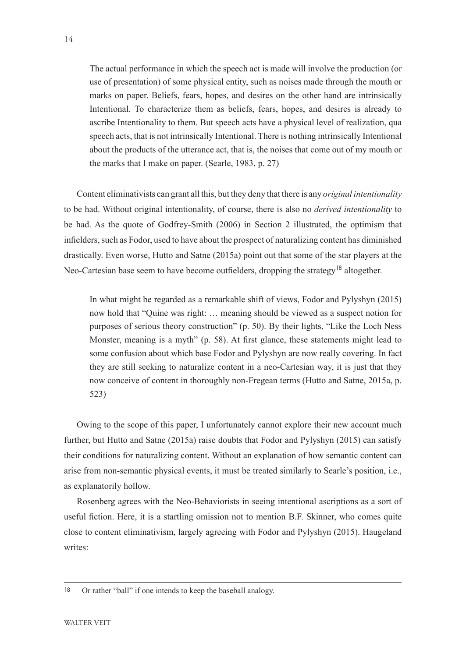The actual performance in which the speech act is made will involve the production (or use of presentation) of some physical entity, such as noises made through the mouth or marks on paper. Beliefs, fears, hopes, and desires on the other hand are intrinsically Intentional. To characterize them as beliefs, fears, hopes, and desires is already to ascribe Intentionality to them. But speech acts have a physical level of realization, qua speech acts, that is not intrinsically Intentional. There is nothing intrinsically Intentional about the products of the utterance act, that is, the noises that come out of my mouth or the marks that I make on paper. (Searle, 1983, p. 27)

Content eliminativists can grant all this, but they deny that there is any *original intentionality* to be had. Without original intentionality, of course, there is also no *derived intentionality* to be had. As the quote of Godfrey-Smith (2006) in Section 2 illustrated, the optimism that infielders, such as Fodor, used to have about the prospect of naturalizing content has diminished drastically. Even worse, Hutto and Satne (2015a) point out that some of the star players at the Neo-Cartesian base seem to have become outfielders, dropping the strategy<sup>18</sup> altogether.

In what might be regarded as a remarkable shift of views, Fodor and Pylyshyn (2015) now hold that "Quine was right: … meaning should be viewed as a suspect notion for purposes of serious theory construction" (p. 50). By their lights, "Like the Loch Ness Monster, meaning is a myth" (p. 58). At first glance, these statements might lead to some confusion about which base Fodor and Pylyshyn are now really covering. In fact they are still seeking to naturalize content in a neo-Cartesian way, it is just that they now conceive of content in thoroughly non-Fregean terms (Hutto and Satne, 2015a, p. 523)

Owing to the scope of this paper, I unfortunately cannot explore their new account much further, but Hutto and Satne (2015a) raise doubts that Fodor and Pylyshyn (2015) can satisfy their conditions for naturalizing content. Without an explanation of how semantic content can arise from non-semantic physical events, it must be treated similarly to Searle's position, i.e., as explanatorily hollow.

Rosenberg agrees with the Neo-Behaviorists in seeing intentional ascriptions as a sort of useful fiction. Here, it is a startling omission not to mention B.F. Skinner, who comes quite close to content eliminativism, largely agreeing with Fodor and Pylyshyn (2015). Haugeland writes:

<sup>18</sup> Or rather "ball" if one intends to keep the baseball analogy.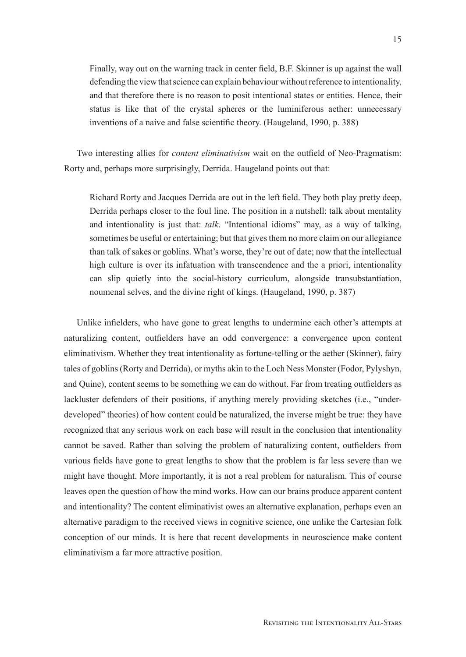Finally, way out on the warning track in center field, B.F. Skinner is up against the wall defending the view that science can explain behaviour without reference to intentionality, and that therefore there is no reason to posit intentional states or entities. Hence, their status is like that of the crystal spheres or the luminiferous aether: unnecessary inventions of a naive and false scientific theory. (Haugeland, 1990, p. 388)

Two interesting allies for *content eliminativism* wait on the outfield of Neo-Pragmatism: Rorty and, perhaps more surprisingly, Derrida. Haugeland points out that:

Richard Rorty and Jacques Derrida are out in the left field. They both play pretty deep, Derrida perhaps closer to the foul line. The position in a nutshell: talk about mentality and intentionality is just that: *talk*. "Intentional idioms" may, as a way of talking, sometimes be useful or entertaining; but that gives them no more claim on our allegiance than talk of sakes or goblins. What's worse, they're out of date; now that the intellectual high culture is over its infatuation with transcendence and the a priori, intentionality can slip quietly into the social-history curriculum, alongside transubstantiation, noumenal selves, and the divine right of kings. (Haugeland, 1990, p. 387)

Unlike infielders, who have gone to great lengths to undermine each other's attempts at naturalizing content, outfielders have an odd convergence: a convergence upon content eliminativism. Whether they treat intentionality as fortune-telling or the aether (Skinner), fairy tales of goblins (Rorty and Derrida), or myths akin to the Loch Ness Monster (Fodor, Pylyshyn, and Quine), content seems to be something we can do without. Far from treating outfielders as lackluster defenders of their positions, if anything merely providing sketches (i.e., "underdeveloped" theories) of how content could be naturalized, the inverse might be true: they have recognized that any serious work on each base will result in the conclusion that intentionality cannot be saved. Rather than solving the problem of naturalizing content, outfielders from various fields have gone to great lengths to show that the problem is far less severe than we might have thought. More importantly, it is not a real problem for naturalism. This of course leaves open the question of how the mind works. How can our brains produce apparent content and intentionality? The content eliminativist owes an alternative explanation, perhaps even an alternative paradigm to the received views in cognitive science, one unlike the Cartesian folk conception of our minds. It is here that recent developments in neuroscience make content eliminativism a far more attractive position.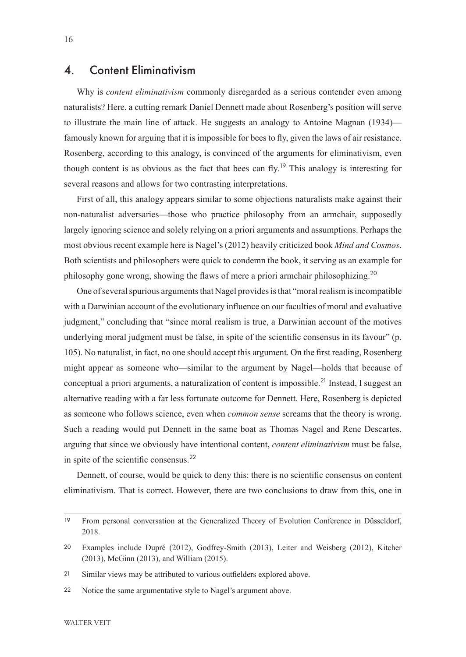#### 4. Content Eliminativism

Why is *content eliminativism* commonly disregarded as a serious contender even among naturalists? Here, a cutting remark Daniel Dennett made about Rosenberg's position will serve to illustrate the main line of attack. He suggests an analogy to Antoine Magnan (1934) famously known for arguing that it is impossible for bees to fly, given the laws of air resistance. Rosenberg, according to this analogy, is convinced of the arguments for eliminativism, even though content is as obvious as the fact that bees can fly.<sup>19</sup> This analogy is interesting for several reasons and allows for two contrasting interpretations.

First of all, this analogy appears similar to some objections naturalists make against their non-naturalist adversaries—those who practice philosophy from an armchair, supposedly largely ignoring science and solely relying on a priori arguments and assumptions. Perhaps the most obvious recent example here is Nagel's (2012) heavily criticized book *Mind and Cosmos*. Both scientists and philosophers were quick to condemn the book, it serving as an example for philosophy gone wrong, showing the flaws of mere a priori armchair philosophizing.<sup>20</sup>

One of several spurious arguments that Nagel provides is that "moral realism is incompatible with a Darwinian account of the evolutionary influence on our faculties of moral and evaluative judgment," concluding that "since moral realism is true, a Darwinian account of the motives underlying moral judgment must be false, in spite of the scientific consensus in its favour" (p. 105). No naturalist, in fact, no one should accept this argument. On the first reading, Rosenberg might appear as someone who—similar to the argument by Nagel—holds that because of conceptual a priori arguments, a naturalization of content is impossible.<sup>21</sup> Instead, I suggest an alternative reading with a far less fortunate outcome for Dennett. Here, Rosenberg is depicted as someone who follows science, even when *common sense* screams that the theory is wrong. Such a reading would put Dennett in the same boat as Thomas Nagel and Rene Descartes, arguing that since we obviously have intentional content, *content eliminativism* must be false, in spite of the scientific consensus.<sup>22</sup>

Dennett, of course, would be quick to deny this: there is no scientific consensus on content eliminativism. That is correct. However, there are two conclusions to draw from this, one in

<sup>19</sup> From personal conversation at the Generalized Theory of Evolution Conference in Düsseldorf, 2018.

<sup>20</sup> Examples include Dupré (2012), Godfrey-Smith (2013), Leiter and Weisberg (2012), Kitcher (2013), McGinn (2013), and William (2015).

<sup>21</sup> Similar views may be attributed to various outfielders explored above.

<sup>22</sup> Notice the same argumentative style to Nagel's argument above.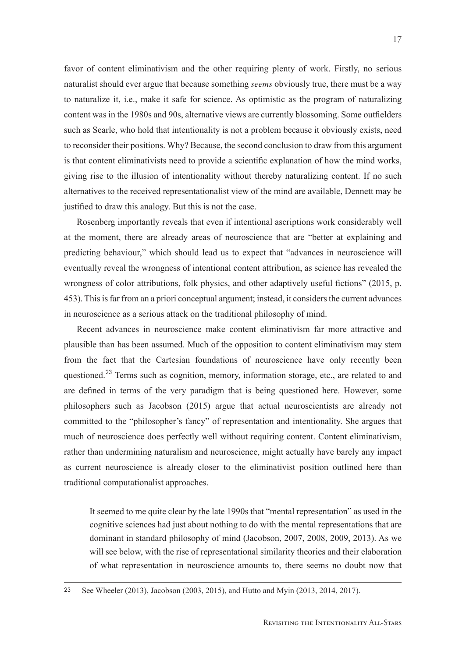favor of content eliminativism and the other requiring plenty of work. Firstly, no serious naturalist should ever argue that because something *seems* obviously true, there must be a way to naturalize it, i.e., make it safe for science. As optimistic as the program of naturalizing content was in the 1980s and 90s, alternative views are currently blossoming. Some outfielders such as Searle, who hold that intentionality is not a problem because it obviously exists, need to reconsider their positions. Why? Because, the second conclusion to draw from this argument is that content eliminativists need to provide a scientific explanation of how the mind works, giving rise to the illusion of intentionality without thereby naturalizing content. If no such alternatives to the received representationalist view of the mind are available, Dennett may be justified to draw this analogy. But this is not the case.

Rosenberg importantly reveals that even if intentional ascriptions work considerably well at the moment, there are already areas of neuroscience that are "better at explaining and predicting behaviour," which should lead us to expect that "advances in neuroscience will eventually reveal the wrongness of intentional content attribution, as science has revealed the wrongness of color attributions, folk physics, and other adaptively useful fictions" (2015, p. 453). This is far from an a priori conceptual argument; instead, it considers the current advances in neuroscience as a serious attack on the traditional philosophy of mind.

Recent advances in neuroscience make content eliminativism far more attractive and plausible than has been assumed. Much of the opposition to content eliminativism may stem from the fact that the Cartesian foundations of neuroscience have only recently been questioned.<sup>23</sup> Terms such as cognition, memory, information storage, etc., are related to and are defined in terms of the very paradigm that is being questioned here. However, some philosophers such as Jacobson (2015) argue that actual neuroscientists are already not committed to the "philosopher's fancy" of representation and intentionality. She argues that much of neuroscience does perfectly well without requiring content. Content eliminativism, rather than undermining naturalism and neuroscience, might actually have barely any impact as current neuroscience is already closer to the eliminativist position outlined here than traditional computationalist approaches.

It seemed to me quite clear by the late 1990s that "mental representation" as used in the cognitive sciences had just about nothing to do with the mental representations that are dominant in standard philosophy of mind (Jacobson, 2007, 2008, 2009, 2013). As we will see below, with the rise of representational similarity theories and their elaboration of what representation in neuroscience amounts to, there seems no doubt now that

23 See Wheeler (2013), Jacobson (2003, 2015), and Hutto and Myin (2013, 2014, 2017).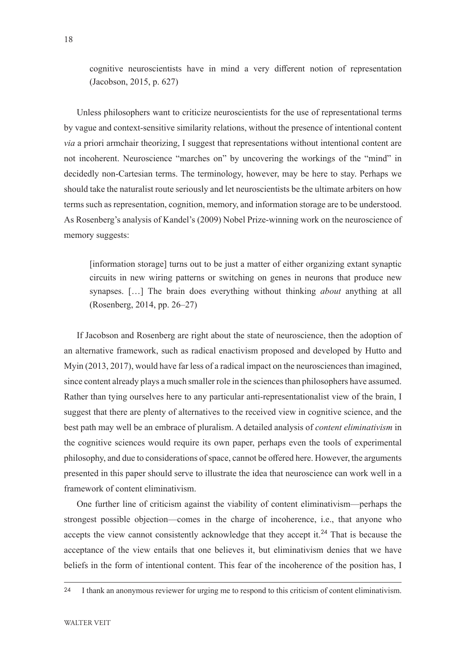cognitive neuroscientists have in mind a very different notion of representation (Jacobson, 2015, p. 627)

Unless philosophers want to criticize neuroscientists for the use of representational terms by vague and context-sensitive similarity relations, without the presence of intentional content *via* a priori armchair theorizing, I suggest that representations without intentional content are not incoherent. Neuroscience "marches on" by uncovering the workings of the "mind" in decidedly non-Cartesian terms. The terminology, however, may be here to stay. Perhaps we should take the naturalist route seriously and let neuroscientists be the ultimate arbiters on how terms such as representation, cognition, memory, and information storage are to be understood. As Rosenberg's analysis of Kandel's (2009) Nobel Prize-winning work on the neuroscience of memory suggests:

[information storage] turns out to be just a matter of either organizing extant synaptic circuits in new wiring patterns or switching on genes in neurons that produce new synapses. […] The brain does everything without thinking *about* anything at all (Rosenberg, 2014, pp. 26–27)

If Jacobson and Rosenberg are right about the state of neuroscience, then the adoption of an alternative framework, such as radical enactivism proposed and developed by Hutto and Myin (2013, 2017), would have far less of a radical impact on the neurosciences than imagined, since content already plays a much smaller role in the sciences than philosophers have assumed. Rather than tying ourselves here to any particular anti-representationalist view of the brain, I suggest that there are plenty of alternatives to the received view in cognitive science, and the best path may well be an embrace of pluralism. A detailed analysis of *content eliminativism* in the cognitive sciences would require its own paper, perhaps even the tools of experimental philosophy, and due to considerations of space, cannot be offered here. However, the arguments presented in this paper should serve to illustrate the idea that neuroscience can work well in a framework of content eliminativism.

One further line of criticism against the viability of content eliminativism—perhaps the strongest possible objection—comes in the charge of incoherence, i.e., that anyone who accepts the view cannot consistently acknowledge that they accept it.<sup>24</sup> That is because the acceptance of the view entails that one believes it, but eliminativism denies that we have beliefs in the form of intentional content. This fear of the incoherence of the position has, I

<sup>24</sup> I thank an anonymous reviewer for urging me to respond to this criticism of content eliminativism.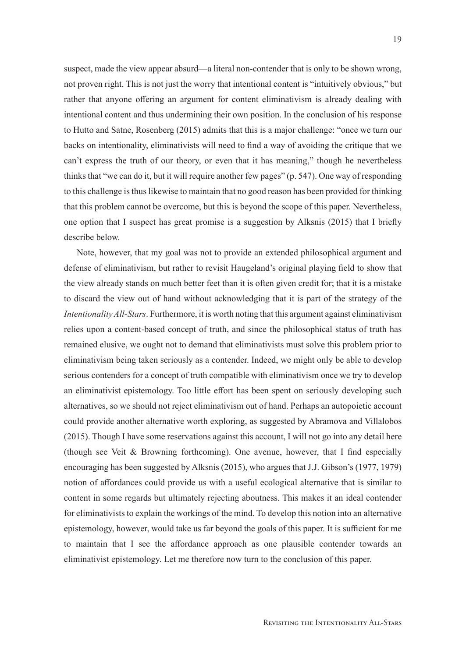suspect, made the view appear absurd—a literal non-contender that is only to be shown wrong, not proven right. This is not just the worry that intentional content is "intuitively obvious," but rather that anyone offering an argument for content eliminativism is already dealing with intentional content and thus undermining their own position. In the conclusion of his response to Hutto and Satne, Rosenberg (2015) admits that this is a major challenge: "once we turn our backs on intentionality, eliminativists will need to find a way of avoiding the critique that we can't express the truth of our theory, or even that it has meaning," though he nevertheless thinks that "we can do it, but it will require another few pages" (p. 547). One way of responding to this challenge is thus likewise to maintain that no good reason has been provided for thinking that this problem cannot be overcome, but this is beyond the scope of this paper. Nevertheless, one option that I suspect has great promise is a suggestion by Alksnis (2015) that I briefly describe below.

Note, however, that my goal was not to provide an extended philosophical argument and defense of eliminativism, but rather to revisit Haugeland's original playing field to show that the view already stands on much better feet than it is often given credit for; that it is a mistake to discard the view out of hand without acknowledging that it is part of the strategy of the *Intentionality All-Stars*. Furthermore, it is worth noting that this argument against eliminativism relies upon a content-based concept of truth, and since the philosophical status of truth has remained elusive, we ought not to demand that eliminativists must solve this problem prior to eliminativism being taken seriously as a contender. Indeed, we might only be able to develop serious contenders for a concept of truth compatible with eliminativism once we try to develop an eliminativist epistemology. Too little effort has been spent on seriously developing such alternatives, so we should not reject eliminativism out of hand. Perhaps an autopoietic account could provide another alternative worth exploring, as suggested by Abramova and Villalobos (2015). Though I have some reservations against this account, I will not go into any detail here (though see Veit & Browning forthcoming). One avenue, however, that I find especially encouraging has been suggested by Alksnis (2015), who argues that J.J. Gibson's (1977, 1979) notion of affordances could provide us with a useful ecological alternative that is similar to content in some regards but ultimately rejecting aboutness. This makes it an ideal contender for eliminativists to explain the workings of the mind. To develop this notion into an alternative epistemology, however, would take us far beyond the goals of this paper. It is sufficient for me to maintain that I see the affordance approach as one plausible contender towards an eliminativist epistemology. Let me therefore now turn to the conclusion of this paper.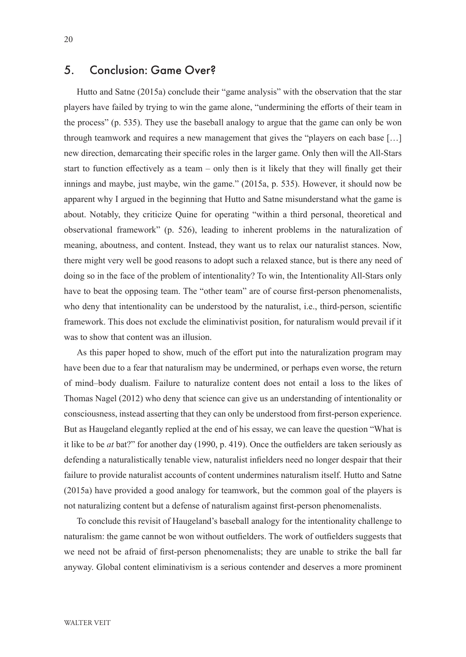## 5. Conclusion: Game Over?

Hutto and Satne (2015a) conclude their "game analysis" with the observation that the star players have failed by trying to win the game alone, "undermining the efforts of their team in the process" (p. 535). They use the baseball analogy to argue that the game can only be won through teamwork and requires a new management that gives the "players on each base […] new direction, demarcating their specific roles in the larger game. Only then will the All-Stars start to function effectively as a team – only then is it likely that they will finally get their innings and maybe, just maybe, win the game." (2015a, p. 535). However, it should now be apparent why I argued in the beginning that Hutto and Satne misunderstand what the game is about. Notably, they criticize Quine for operating "within a third personal, theoretical and observational framework" (p. 526), leading to inherent problems in the naturalization of meaning, aboutness, and content. Instead, they want us to relax our naturalist stances. Now, there might very well be good reasons to adopt such a relaxed stance, but is there any need of doing so in the face of the problem of intentionality? To win, the Intentionality All-Stars only have to beat the opposing team. The "other team" are of course first-person phenomenalists, who deny that intentionality can be understood by the naturalist, i.e., third-person, scientific framework. This does not exclude the eliminativist position, for naturalism would prevail if it was to show that content was an illusion.

As this paper hoped to show, much of the effort put into the naturalization program may have been due to a fear that naturalism may be undermined, or perhaps even worse, the return of mind–body dualism. Failure to naturalize content does not entail a loss to the likes of Thomas Nagel (2012) who deny that science can give us an understanding of intentionality or consciousness, instead asserting that they can only be understood from first-person experience. But as Haugeland elegantly replied at the end of his essay, we can leave the question "What is it like to be *at* bat?" for another day (1990, p. 419). Once the outfielders are taken seriously as defending a naturalistically tenable view, naturalist infielders need no longer despair that their failure to provide naturalist accounts of content undermines naturalism itself. Hutto and Satne (2015a) have provided a good analogy for teamwork, but the common goal of the players is not naturalizing content but a defense of naturalism against first-person phenomenalists.

To conclude this revisit of Haugeland's baseball analogy for the intentionality challenge to naturalism: the game cannot be won without outfielders. The work of outfielders suggests that we need not be afraid of first-person phenomenalists; they are unable to strike the ball far anyway. Global content eliminativism is a serious contender and deserves a more prominent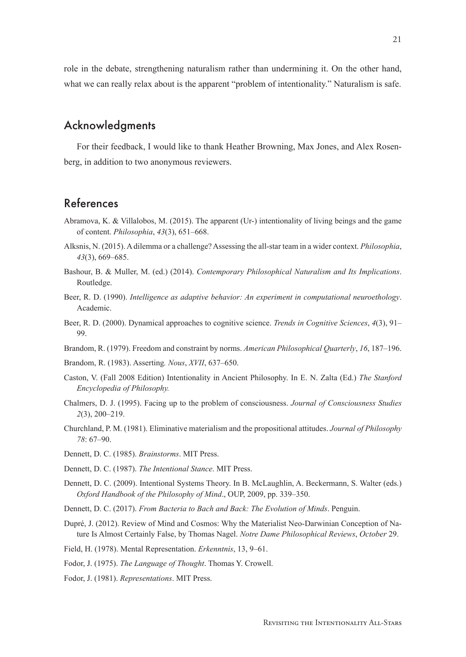role in the debate, strengthening naturalism rather than undermining it. On the other hand, what we can really relax about is the apparent "problem of intentionality." Naturalism is safe.

#### Acknowledgments

For their feedback, I would like to thank Heather Browning, Max Jones, and Alex Rosenberg, in addition to two anonymous reviewers.

## References

- Abramova, K. & Villalobos, M. (2015). The apparent (Ur-) intentionality of living beings and the game of content. *Philosophia*, *43*(3), 651–668.
- Alksnis, N. (2015). A dilemma or a challenge? Assessing the all-star team in a wider context. *Philosophia*, *43*(3), 669–685.
- Bashour, B. & Muller, M. (ed.) (2014). *Contemporary Philosophical Naturalism and Its Implications*. Routledge.
- Beer, R. D. (1990). *Intelligence as adaptive behavior: An experiment in computational neuroethology*. Academic.
- Beer, R. D. (2000). Dynamical approaches to cognitive science. *Trends in Cognitive Sciences*, *4*(3), 91– 99.
- Brandom, R. (1979). Freedom and constraint by norms. *American Philosophical Quarterly*, *16*, 187–196.
- Brandom, R. (1983). Asserting*. Nous*, *XVII*, 637–650.
- Caston, V. (Fall 2008 Edition) Intentionality in Ancient Philosophy. In E. N. Zalta (Ed.) *The Stanford Encyclopedia of Philosophy.*
- Chalmers, D. J. (1995). Facing up to the problem of consciousness. *Journal of Consciousness Studies 2*(3), 200–219.
- Churchland, P. M. (1981). Eliminative materialism and the propositional attitudes. *Journal of Philosophy 78*: 67–90.
- Dennett, D. C. (1985). *Brainstorms*. MIT Press.
- Dennett, D. C. (1987). *The Intentional Stance*. MIT Press.
- Dennett, D. C. (2009). Intentional Systems Theory. In B. McLaughlin, A. Beckermann, S. Walter (eds.) *Oxford Handbook of the Philosophy of Mind*., OUP, 2009, pp. 339–350.
- Dennett, D. C. (2017). *From Bacteria to Bach and Back: The Evolution of Minds*. Penguin.
- Dupré, J. (2012). Review of Mind and Cosmos: Why the Materialist Neo-Darwinian Conception of Nature Is Almost Certainly False, by Thomas Nagel. *Notre Dame Philosophical Reviews*, *October* 29.
- Field, H. (1978). Mental Representation. *Erkenntnis*, 13, 9–61.
- Fodor, J. (1975). *The Language of Thought*. Thomas Y. Crowell.
- Fodor, J. (1981). *Representations*. MIT Press.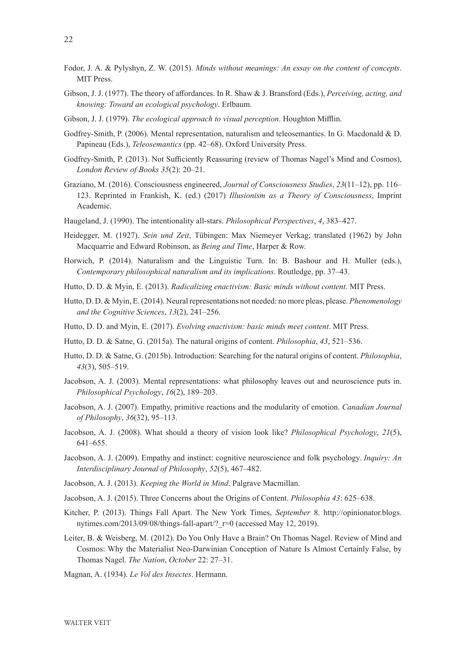- Fodor, J. A. & Pylyshyn, Z. W. (2015). *Minds without meanings: An essay on the content of concepts*. MIT Press.
- Gibson, J. J. (1977). The theory of affordances. In R. Shaw & J. Bransford (Eds.), *Perceiving, acting, and knowing: Toward an ecological psychology*. Erlbaum.
- Gibson, J. J. (1979). *The ecological approach to visual perception*. Houghton Mifflin.
- Godfrey-Smith, P. (2006). Mental representation, naturalism and teleosemantics. In G. Macdonald & D. Papineau (Eds.), *Teleosemantics* (pp. 42–68). Oxford University Press.
- Godfrey-Smith, P. (2013). Not Sufficiently Reassuring (review of Thomas Nagel's Mind and Cosmos), *London Review of Books 35*(2): 20–21.
- Graziano, M. (2016). Consciousness engineered, *Journal of Consciousness Studies*, *23*(11–12), pp. 116– 123. Reprinted in Frankish, K. (ed.) (2017) *Illusionism as a Theory of Consciousness*, Imprint Academic.
- Haugeland, J. (1990). The intentionality all-stars. *Philosophical Perspectives*, *4*, 383–427.
- Heidegger, M. (1927). *Sein und Zeit*, Tübingen: Max Niemeyer Verkag; translated (1962) by John Macquarrie and Edward Robinson, as *Being and Time*, Harper & Row.
- Horwich, P. (2014). Naturalism and the Linguistic Turn. In: B. Bashour and H. Muller (eds.), *Contemporary philosophical naturalism and its implications*. Routledge, pp. 37–43.
- Hutto, D. D. & Myin, E. (2013). *Radicalizing enactivism: Basic minds without content*. MIT Press.
- Hutto, D. D. & Myin, E. (2014). Neural representations not needed: no more pleas, please. *Phenomenology and the Cognitive Sciences*, *13*(2), 241–256.
- Hutto, D. D. and Myin, E. (2017). *Evolving enactivism: basic minds meet content*. MIT Press.
- Hutto, D. D. & Satne, G. (2015a). The natural origins of content. *Philosophia*, *43*, 521–536.
- Hutto, D. D. & Satne, G. (2015b). Introduction: Searching for the natural origins of content. *Philosophia*, *43*(3), 505–519.
- Jacobson, A. J. (2003). Mental representations: what philosophy leaves out and neuroscience puts in. *Philosophical Psychology*, *16*(2), 189–203.
- Jacobson, A. J. (2007). Empathy, primitive reactions and the modularity of emotion. *Canadian Journal of Philosophy*, *36*(32), 95–113.
- Jacobson, A. J. (2008). What should a theory of vision look like? *Philosophical Psychology*, *21*(5), 641–655.
- Jacobson, A. J. (2009). Empathy and instinct: cognitive neuroscience and folk psychology. *Inquiry: An Interdisciplinary Journal of Philosophy*, *52*(5), 467–482.
- Jacobson, A. J. (2013). *Keeping the World in Mind*. Palgrave Macmillan.
- Jacobson, A. J. (2015). Three Concerns about the Origins of Content. *Philosophia 43*: 625–638.
- Kitcher, P. (2013). Things Fall Apart. The New York Times, *September* 8. http://opinionator.blogs. nytimes.com/2013/09/08/things-fall-apart/? r=0 (accessed May 12, 2019).
- Leiter, B. & Weisberg, M. (2012). Do You Only Have a Brain? On Thomas Nagel. Review of Mind and Cosmos: Why the Materialist Neo-Darwinian Conception of Nature Is Almost Certainly False, by Thomas Nagel. *The Nation*, *October* 22: 27–31.
- Magnan, A. (1934). *Le Vol des Insectes*. Hermann.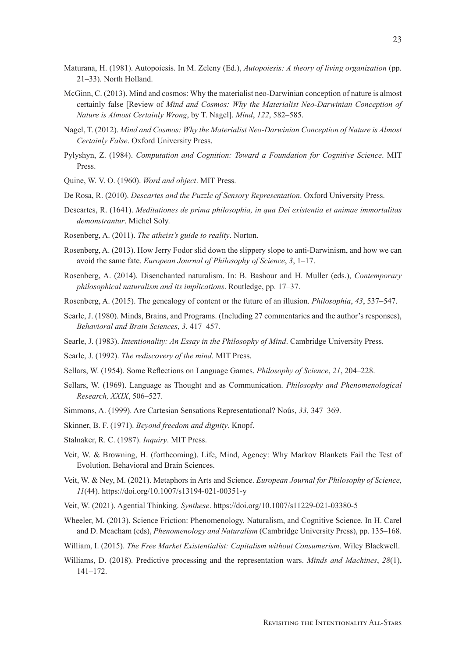- McGinn, C. (2013). Mind and cosmos: Why the materialist neo-Darwinian conception of nature is almost certainly false [Review of *Mind and Cosmos: Why the Materialist Neo-Darwinian Conception of Nature is Almost Certainly Wrong*, by T. Nagel]. *Mind*, *122*, 582–585.
- Nagel, T. (2012). *Mind and Cosmos: Why the Materialist Neo-Darwinian Conception of Nature is Almost Certainly False*. Oxford University Press.
- Pylyshyn, Z. (1984). *Computation and Cognition: Toward a Foundation for Cognitive Science*. MIT Press.
- Quine, W. V. O. (1960). *Word and object*. MIT Press.
- De Rosa, R. (2010). *Descartes and the Puzzle of Sensory Representation*. Oxford University Press.
- Descartes, R. (1641). *Meditationes de prima philosophia, in qua Dei existentia et animae immortalitas demonstrantur*. Michel Soly.
- Rosenberg, A. (2011). *The atheist's guide to reality*. Norton.
- Rosenberg, A. (2013). How Jerry Fodor slid down the slippery slope to anti-Darwinism, and how we can avoid the same fate. *European Journal of Philosophy of Science*, *3*, 1–17.
- Rosenberg, A. (2014). Disenchanted naturalism. In: B. Bashour and H. Muller (eds.), *Contemporary philosophical naturalism and its implications*. Routledge, pp. 17–37.
- Rosenberg, A. (2015). The genealogy of content or the future of an illusion. *Philosophia*, *43*, 537–547.
- Searle, J. (1980). Minds, Brains, and Programs. (Including 27 commentaries and the author's responses), *Behavioral and Brain Sciences*, *3*, 417–457.
- Searle, J. (1983). *Intentionality: An Essay in the Philosophy of Mind*. Cambridge University Press.
- Searle, J. (1992). *The rediscovery of the mind*. MIT Press.
- Sellars, W. (1954). Some Reflections on Language Games. *Philosophy of Science*, *21*, 204–228.
- Sellars, W. (1969). Language as Thought and as Communication. *Philosophy and Phenomenological Research, XXIX*, 506–527.
- Simmons, A. (1999). Are Cartesian Sensations Representational? Noûs, *33*, 347–369.
- Skinner, B. F. (1971). *Beyond freedom and dignity*. Knopf.
- Stalnaker, R. C. (1987). *Inquiry*. MIT Press.
- Veit, W. & Browning, H. (forthcoming). Life, Mind, Agency: Why Markov Blankets Fail the Test of Evolution. Behavioral and Brain Sciences.
- Veit, W. & Ney, M. (2021). Metaphors in Arts and Science. *European Journal for Philosophy of Science*, *11*(44). https://doi.org/10.1007/s13194-021-00351-y
- Veit, W. (2021). Agential Thinking. *Synthese*. https://doi.org/10.1007/s11229-021-03380-5
- Wheeler, M. (2013). Science Friction: Phenomenology, Naturalism, and Cognitive Science. In H. Carel and D. Meacham (eds), *Phenomenology and Naturalism* (Cambridge University Press), pp. 135–168.
- William, I. (2015). *The Free Market Existentialist: Capitalism without Consumerism*. Wiley Blackwell.
- Williams, D. (2018). Predictive processing and the representation wars. *Minds and Machines*, *28*(1), 141–172.